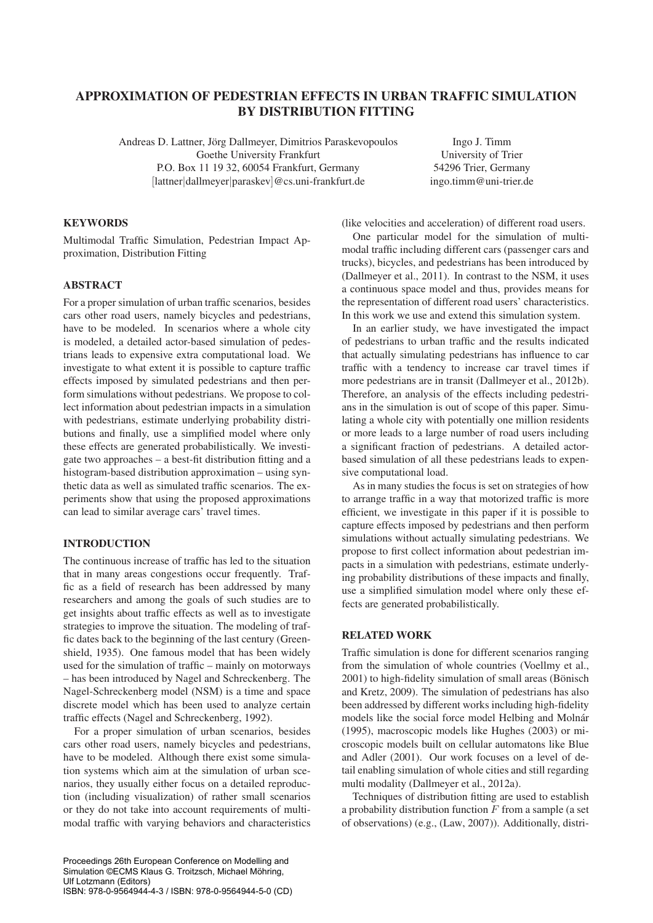# APPROXIMATION OF PEDESTRIAN EFFECTS IN URBAN TRAFFIC SIMULATION BY DISTRIBUTION FITTING

Andreas D. Lattner, Jörg Dallmeyer, Dimitrios Paraskevopoulos Goethe University Frankfurt P.O. Box 11 19 32, 60054 Frankfurt, Germany [lattner|dallmeyer|paraskev]@cs.uni-frankfurt.de

**KEYWORDS** 

Multimodal Traffic Simulation, Pedestrian Impact Approximation, Distribution Fitting

# **ABSTRACT**

For a proper simulation of urban traffic scenarios, besides cars other road users, namely bicycles and pedestrians, have to be modeled. In scenarios where a whole city is modeled, a detailed actor-based simulation of pedestrians leads to expensive extra computational load. We investigate to what extent it is possible to capture traffic effects imposed by simulated pedestrians and then perform simulations without pedestrians. We propose to collect information about pedestrian impacts in a simulation with pedestrians, estimate underlying probability distributions and finally, use a simplified model where only these effects are generated probabilistically. We investigate two approaches – a best-fit distribution fitting and a histogram-based distribution approximation – using synthetic data as well as simulated traffic scenarios. The experiments show that using the proposed approximations can lead to similar average cars' travel times.

### INTRODUCTION

The continuous increase of traffic has led to the situation that in many areas congestions occur frequently. Traffic as a field of research has been addressed by many researchers and among the goals of such studies are to get insights about traffic effects as well as to investigate strategies to improve the situation. The modeling of traffic dates back to the beginning of the last century (Greenshield, 1935). One famous model that has been widely used for the simulation of traffic – mainly on motorways – has been introduced by Nagel and Schreckenberg. The Nagel-Schreckenberg model (NSM) is a time and space discrete model which has been used to analyze certain traffic effects (Nagel and Schreckenberg, 1992).

For a proper simulation of urban scenarios, besides cars other road users, namely bicycles and pedestrians, have to be modeled. Although there exist some simulation systems which aim at the simulation of urban scenarios, they usually either focus on a detailed reproduction (including visualization) of rather small scenarios or they do not take into account requirements of multimodal traffic with varying behaviors and characteristics

Proceedings 26th European Conference on Modelling and Simulation ©ECMS Klaus G. Troitzsch, Michael Möhring, Ulf Lotzmann (Editors) ISBN: 978-0-9564944-4-3 / ISBN: 978-0-9564944-5-0 (CD)

Ingo J. Timm University of Trier 54296 Trier, Germany ingo.timm@uni-trier.de

(like velocities and acceleration) of different road users.

One particular model for the simulation of multimodal traffic including different cars (passenger cars and trucks), bicycles, and pedestrians has been introduced by (Dallmeyer et al., 2011). In contrast to the NSM, it uses a continuous space model and thus, provides means for the representation of different road users' characteristics. In this work we use and extend this simulation system.

In an earlier study, we have investigated the impact of pedestrians to urban traffic and the results indicated that actually simulating pedestrians has influence to car traffic with a tendency to increase car travel times if more pedestrians are in transit (Dallmeyer et al., 2012b). Therefore, an analysis of the effects including pedestrians in the simulation is out of scope of this paper. Simulating a whole city with potentially one million residents or more leads to a large number of road users including a significant fraction of pedestrians. A detailed actorbased simulation of all these pedestrians leads to expensive computational load.

As in many studies the focus is set on strategies of how to arrange traffic in a way that motorized traffic is more efficient, we investigate in this paper if it is possible to capture effects imposed by pedestrians and then perform simulations without actually simulating pedestrians. We propose to first collect information about pedestrian impacts in a simulation with pedestrians, estimate underlying probability distributions of these impacts and finally, use a simplified simulation model where only these effects are generated probabilistically.

### RELATED WORK

Traffic simulation is done for different scenarios ranging from the simulation of whole countries (Voellmy et al.,  $2001$ ) to high-fidelity simulation of small areas (Bönisch and Kretz, 2009). The simulation of pedestrians has also been addressed by different works including high-fidelity models like the social force model Helbing and Molnár (1995), macroscopic models like Hughes (2003) or microscopic models built on cellular automatons like Blue and Adler (2001). Our work focuses on a level of detail enabling simulation of whole cities and still regarding multi modality (Dallmeyer et al., 2012a).

Techniques of distribution fitting are used to establish a probability distribution function  $F$  from a sample (a set of observations) (e.g., (Law, 2007)). Additionally, distri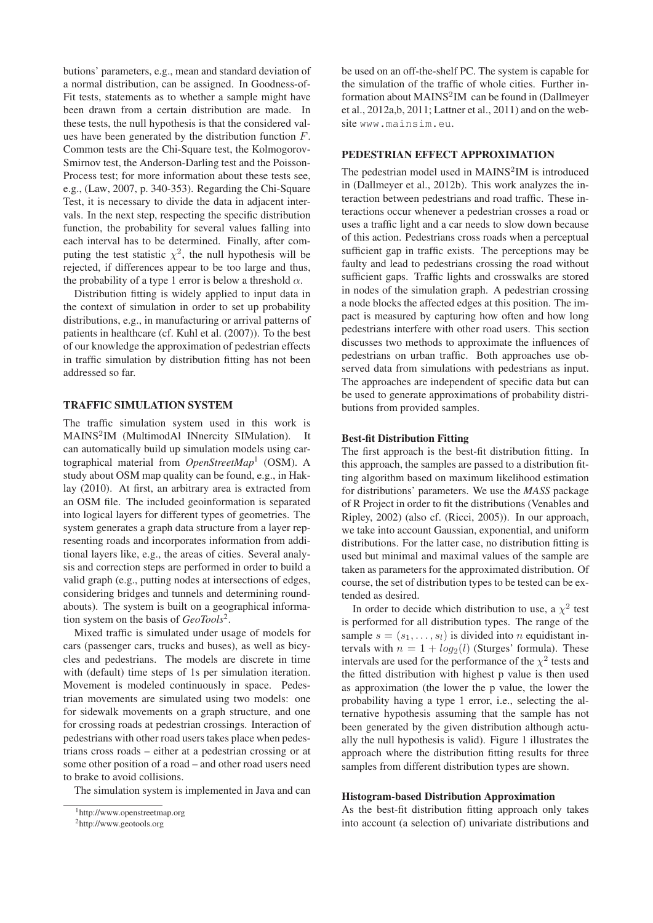butions' parameters, e.g., mean and standard deviation of a normal distribution, can be assigned. In Goodness-of-Fit tests, statements as to whether a sample might have been drawn from a certain distribution are made. In these tests, the null hypothesis is that the considered values have been generated by the distribution function F. Common tests are the Chi-Square test, the Kolmogorov-Smirnov test, the Anderson-Darling test and the Poisson-Process test; for more information about these tests see, e.g., (Law, 2007, p. 340-353). Regarding the Chi-Square Test, it is necessary to divide the data in adjacent intervals. In the next step, respecting the specific distribution function, the probability for several values falling into each interval has to be determined. Finally, after computing the test statistic  $\chi^2$ , the null hypothesis will be rejected, if differences appear to be too large and thus, the probability of a type 1 error is below a threshold  $\alpha$ .

Distribution fitting is widely applied to input data in the context of simulation in order to set up probability distributions, e.g., in manufacturing or arrival patterns of patients in healthcare (cf. Kuhl et al. (2007)). To the best of our knowledge the approximation of pedestrian effects in traffic simulation by distribution fitting has not been addressed so far.

### TRAFFIC SIMULATION SYSTEM

The traffic simulation system used in this work is MAINS<sup>2</sup>IM (MultimodAl INnercity SIMulation). It can automatically build up simulation models using cartographical material from *OpenStreetMap*<sup>1</sup> (OSM). A study about OSM map quality can be found, e.g., in Haklay (2010). At first, an arbitrary area is extracted from an OSM file. The included geoinformation is separated into logical layers for different types of geometries. The system generates a graph data structure from a layer representing roads and incorporates information from additional layers like, e.g., the areas of cities. Several analysis and correction steps are performed in order to build a valid graph (e.g., putting nodes at intersections of edges, considering bridges and tunnels and determining roundabouts). The system is built on a geographical information system on the basis of *GeoTools*2.

Mixed traffic is simulated under usage of models for cars (passenger cars, trucks and buses), as well as bicycles and pedestrians. The models are discrete in time with (default) time steps of 1s per simulation iteration. Movement is modeled continuously in space. Pedestrian movements are simulated using two models: one for sidewalk movements on a graph structure, and one for crossing roads at pedestrian crossings. Interaction of pedestrians with other road users takes place when pedestrians cross roads – either at a pedestrian crossing or at some other position of a road – and other road users need to brake to avoid collisions.

The simulation system is implemented in Java and can

be used on an off-the-shelf PC. The system is capable for the simulation of the traffic of whole cities. Further information about  $MAINS<sup>2</sup>IM$  can be found in (Dallmeyer et al., 2012a,b, 2011; Lattner et al., 2011) and on the website www.mainsim.eu.

# PEDESTRIAN EFFECT APPROXIMATION

The pedestrian model used in  $MAINS<sup>2</sup>IM$  is introduced in (Dallmeyer et al., 2012b). This work analyzes the interaction between pedestrians and road traffic. These interactions occur whenever a pedestrian crosses a road or uses a traffic light and a car needs to slow down because of this action. Pedestrians cross roads when a perceptual sufficient gap in traffic exists. The perceptions may be faulty and lead to pedestrians crossing the road without sufficient gaps. Traffic lights and crosswalks are stored in nodes of the simulation graph. A pedestrian crossing a node blocks the affected edges at this position. The impact is measured by capturing how often and how long pedestrians interfere with other road users. This section discusses two methods to approximate the influences of pedestrians on urban traffic. Both approaches use observed data from simulations with pedestrians as input. The approaches are independent of specific data but can be used to generate approximations of probability distributions from provided samples.

#### Best-fit Distribution Fitting

The first approach is the best-fit distribution fitting. In this approach, the samples are passed to a distribution fitting algorithm based on maximum likelihood estimation for distributions' parameters. We use the *MASS* package of R Project in order to fit the distributions (Venables and Ripley, 2002) (also cf. (Ricci, 2005)). In our approach, we take into account Gaussian, exponential, and uniform distributions. For the latter case, no distribution fitting is used but minimal and maximal values of the sample are taken as parameters for the approximated distribution. Of course, the set of distribution types to be tested can be extended as desired.

In order to decide which distribution to use, a  $\chi^2$  test is performed for all distribution types. The range of the sample  $s = (s_1, \ldots, s_l)$  is divided into *n* equidistant intervals with  $n = 1 + log_2(l)$  (Sturges' formula). These intervals are used for the performance of the  $\chi^2$  tests and the fitted distribution with highest p value is then used as approximation (the lower the p value, the lower the probability having a type 1 error, i.e., selecting the alternative hypothesis assuming that the sample has not been generated by the given distribution although actually the null hypothesis is valid). Figure 1 illustrates the approach where the distribution fitting results for three samples from different distribution types are shown.

#### Histogram-based Distribution Approximation

As the best-fit distribution fitting approach only takes into account (a selection of) univariate distributions and

<sup>1</sup>http://www.openstreetmap.org

<sup>2</sup>http://www.geotools.org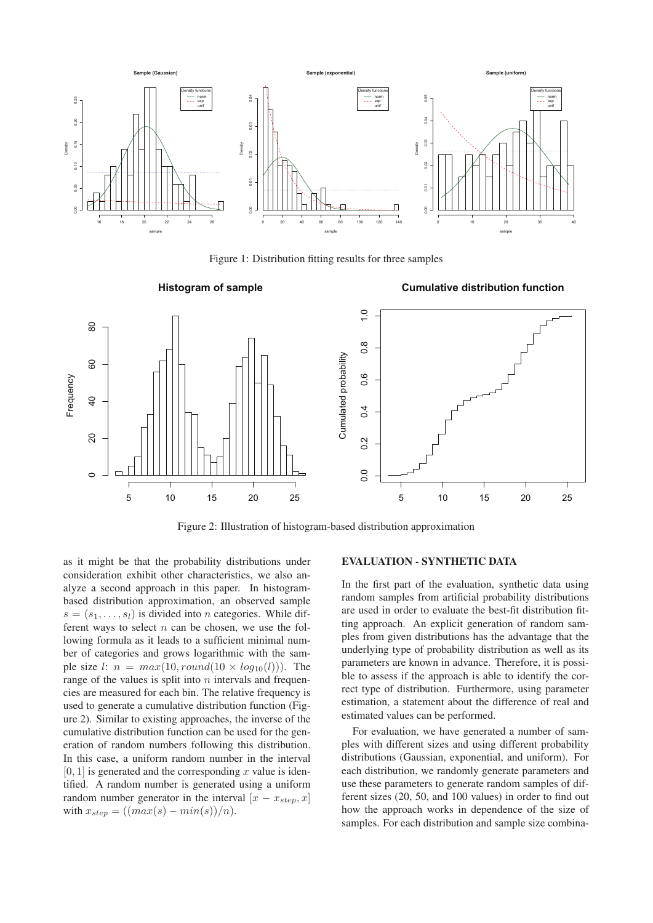

Figure 1: Distribution fitting results for three samples

**Histogram of sample**

**Cumulative distribution function**



Figure 2: Illustration of histogram-based distribution approximation

as it might be that the probability distributions under consideration exhibit other characteristics, we also analyze a second approach in this paper. In histogrambased distribution approximation, an observed sample  $s = (s_1, \ldots, s_l)$  is divided into *n* categories. While different ways to select  $n$  can be chosen, we use the following formula as it leads to a sufficient minimal number of categories and grows logarithmic with the sample size l:  $n = max(10, round(10 \times log_{10}(l)))$ . The range of the values is split into  $n$  intervals and frequencies are measured for each bin. The relative frequency is used to generate a cumulative distribution function (Figure 2). Similar to existing approaches, the inverse of the cumulative distribution function can be used for the generation of random numbers following this distribution. In this case, a uniform random number in the interval  $[0, 1]$  is generated and the corresponding x value is identified. A random number is generated using a uniform random number generator in the interval  $[x - x_{step}, x]$ with  $x_{step} = ((max(s) - min(s))/n)$ .

# EVALUATION - SYNTHETIC DATA

In the first part of the evaluation, synthetic data using random samples from artificial probability distributions are used in order to evaluate the best-fit distribution fitting approach. An explicit generation of random samples from given distributions has the advantage that the underlying type of probability distribution as well as its parameters are known in advance. Therefore, it is possible to assess if the approach is able to identify the correct type of distribution. Furthermore, using parameter estimation, a statement about the difference of real and estimated values can be performed.

For evaluation, we have generated a number of samples with different sizes and using different probability distributions (Gaussian, exponential, and uniform). For each distribution, we randomly generate parameters and use these parameters to generate random samples of different sizes (20, 50, and 100 values) in order to find out how the approach works in dependence of the size of samples. For each distribution and sample size combina-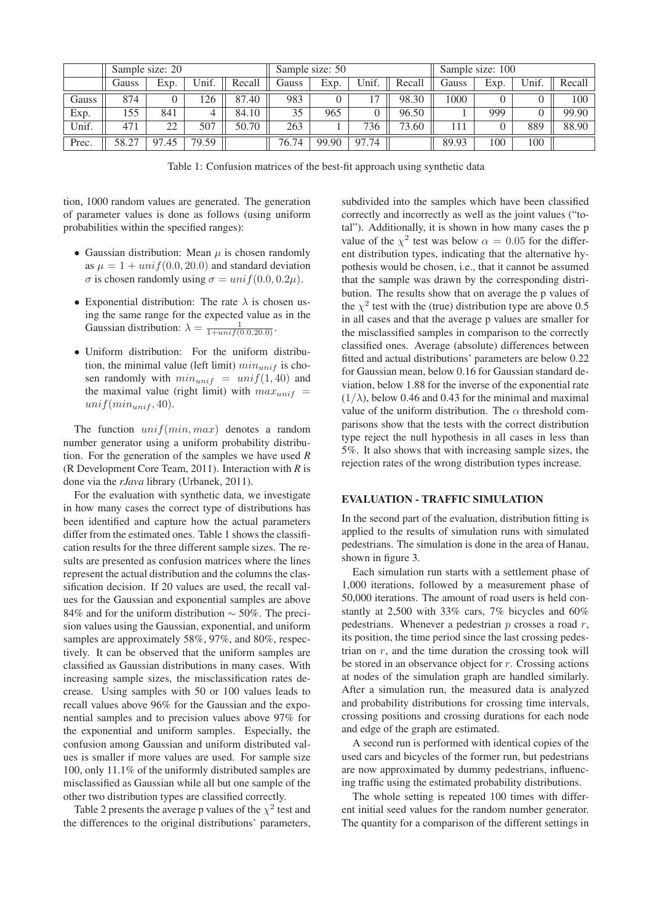|       | Sample size: 20 |           |       |        |       | Sample size: 50 |       |        | Sample size: 100 |      |       |        |
|-------|-----------------|-----------|-------|--------|-------|-----------------|-------|--------|------------------|------|-------|--------|
|       | Gauss           | Exp.      | Unif. | Recall | Gauss | Exp.            | Unif. | Recall | Gauss            | Exp. | Unif. | Recall |
| Gauss | 874             |           | 26    | 87.40  | 983   |                 |       | 98.30  | 1000             |      |       | 100    |
| Exp.  | 155             | 841       |       | 84.10  | 35    | 965             |       | 96.50  |                  | 999  |       | 99.90  |
| Unif. | 471             | 22        | 507   | 50.70  | 263   |                 | 736   | 73.60  | 111              |      | 889   | 88.90  |
| Prec. | 58.27           | 97<br>.45 | 79.59 |        | 76.74 | 99.90           | 97.74 |        | 89.93            | 100  | 100   |        |

Table 1: Confusion matrices of the best-fit approach using synthetic data

tion, 1000 random values are generated. The generation of parameter values is done as follows (using uniform probabilities within the specified ranges):

- Gaussian distribution: Mean  $\mu$  is chosen randomly as  $\mu = 1 + \text{unif}(0.0, 20.0)$  and standard deviation σ is chosen randomly using  $σ = unif(0.0, 0.2μ)$ .
- Exponential distribution: The rate  $\lambda$  is chosen using the same range for the expected value as in the Gaussian distribution:  $\lambda = \frac{1}{1 + unif(0.0, 20.0)}$ .
- Uniform distribution: For the uniform distribution, the minimal value (left limit)  $min_{unif}$  is chosen randomly with  $min_{unit}$  =  $unif(1, 40)$  and the maximal value (right limit) with  $max_{unit}$  =  $unif(min_{unif}, 40).$

The function  $unif(min, max)$  denotes a random number generator using a uniform probability distribution. For the generation of the samples we have used *R* (R Development Core Team, 2011). Interaction with *R* is done via the *rJava* library (Urbanek, 2011).

For the evaluation with synthetic data, we investigate in how many cases the correct type of distributions has been identified and capture how the actual parameters differ from the estimated ones. Table 1 shows the classification results for the three different sample sizes. The results are presented as confusion matrices where the lines represent the actual distribution and the columns the classification decision. If 20 values are used, the recall values for the Gaussian and exponential samples are above 84% and for the uniform distribution ∼ 50%. The precision values using the Gaussian, exponential, and uniform samples are approximately 58%, 97%, and 80%, respectively. It can be observed that the uniform samples are classified as Gaussian distributions in many cases. With increasing sample sizes, the misclassification rates decrease. Using samples with 50 or 100 values leads to recall values above 96% for the Gaussian and the exponential samples and to precision values above 97% for the exponential and uniform samples. Especially, the confusion among Gaussian and uniform distributed values is smaller if more values are used. For sample size 100, only 11.1% of the uniformly distributed samples are misclassified as Gaussian while all but one sample of the other two distribution types are classified correctly.

Table 2 presents the average p values of the  $\chi^2$  test and the differences to the original distributions' parameters,

subdivided into the samples which have been classified correctly and incorrectly as well as the joint values ("total"). Additionally, it is shown in how many cases the p value of the  $\chi^2$  test was below  $\alpha = 0.05$  for the different distribution types, indicating that the alternative hypothesis would be chosen, i.e., that it cannot be assumed that the sample was drawn by the corresponding distribution. The results show that on average the p values of the  $\chi^2$  test with the (true) distribution type are above 0.5 in all cases and that the average p values are smaller for the misclassified samples in comparison to the correctly classified ones. Average (absolute) differences between fitted and actual distributions' parameters are below 0.22 for Gaussian mean, below 0.16 for Gaussian standard deviation, below 1.88 for the inverse of the exponential rate  $(1/\lambda)$ , below 0.46 and 0.43 for the minimal and maximal value of the uniform distribution. The  $\alpha$  threshold comparisons show that the tests with the correct distribution type reject the null hypothesis in all cases in less than 5%. It also shows that with increasing sample sizes, the rejection rates of the wrong distribution types increase.

# EVALUATION - TRAFFIC SIMULATION

In the second part of the evaluation, distribution fitting is applied to the results of simulation runs with simulated pedestrians. The simulation is done in the area of Hanau, shown in figure 3.

Each simulation run starts with a settlement phase of 1,000 iterations, followed by a measurement phase of 50,000 iterations. The amount of road users is held constantly at 2,500 with 33% cars, 7% bicycles and 60% pedestrians. Whenever a pedestrian  $p$  crosses a road  $r$ , its position, the time period since the last crossing pedestrian on  $r$ , and the time duration the crossing took will be stored in an observance object for  $r$ . Crossing actions at nodes of the simulation graph are handled similarly. After a simulation run, the measured data is analyzed and probability distributions for crossing time intervals, crossing positions and crossing durations for each node and edge of the graph are estimated.

A second run is performed with identical copies of the used cars and bicycles of the former run, but pedestrians are now approximated by dummy pedestrians, influencing traffic using the estimated probability distributions.

The whole setting is repeated 100 times with different initial seed values for the random number generator. The quantity for a comparison of the different settings in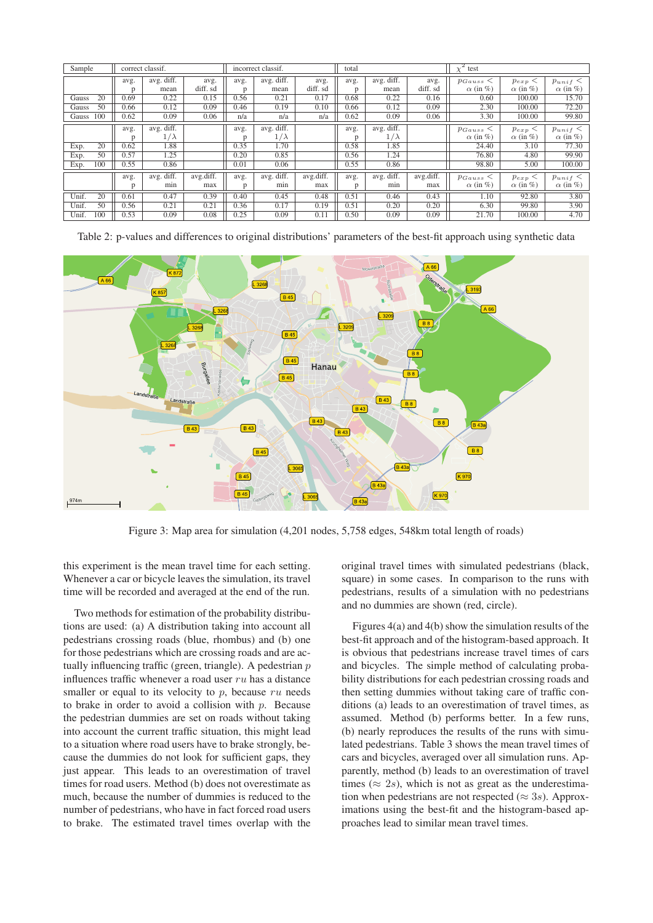| Sample                  | correct classif. |                           |                  | incorrect classif. |                           |                  | total     |                           |                  | $\chi^2$<br>test                 |                              |                                 |
|-------------------------|------------------|---------------------------|------------------|--------------------|---------------------------|------------------|-----------|---------------------------|------------------|----------------------------------|------------------------------|---------------------------------|
|                         | avg.<br>D        | avg. diff.<br>mean        | avg.<br>diff. sd | avg.<br>D          | avg. diff.<br>mean        | avg.<br>diff. sd | avg.<br>D | avg. diff.<br>mean        | avg.<br>diff. sd | $p_{Gauss}$ <<br>$\alpha$ (in %) | $p_{exp}$<br>$\alpha$ (in %) | $p_{unif} <$<br>$\alpha$ (in %) |
| 20<br>Gauss             | 0.69             | 0.22                      | 0.15             | 0.56               | 0.21                      | 0.17             | 0.68      | 0.22                      | 0.16             | 0.60                             | 100.00                       | 15.70                           |
| 50<br>Gauss             | 0.66             | 0.12                      | 0.09             | 0.46               | 0.19                      | 0.10             | 0.66      | 0.12                      | 0.09             | 2.30                             | 100.00                       | 72.20                           |
| 100<br>Gauss            | 0.62             | 0.09                      | 0.06             | n/a                | n/a                       | n/a              | 0.62      | 0.09                      | 0.06             | 3.30                             | 100.00                       | 99.80                           |
|                         | avg.<br>n        | avg. diff.<br>$1/\lambda$ |                  | avg.               | avg. diff.<br>$1/\lambda$ |                  | avg.      | avg. diff.<br>$1/\lambda$ |                  | $p_{Gauss}$<br>$\alpha$ (in %)   | $p_{exp}$<br>$\alpha$ (in %) | $p_{unif} <$<br>$\alpha$ (in %) |
| $\overline{20}$<br>Exp. | 0.62             | 1.88                      |                  | 0.35               | 1.70                      |                  | n<br>0.58 | 1.85                      |                  | 24.40                            | 3.10                         | 77.30                           |
| 50<br>Exp.              | 0.57             | 1.25                      |                  | 0.20               | 0.85                      |                  | 0.56      | 1.24                      |                  | 76.80                            | 4.80                         | 99.90                           |
| 100<br>Exp.             | 0.55             | 0.86                      |                  | 0.01               | 0.06                      |                  | 0.55      | 0.86                      |                  | 98.80                            | 5.00                         | 100.00                          |
|                         | avg.<br>p        | avg. diff.<br>min         | avg.diff.<br>max | avg.<br>p          | avg. diff.<br>min         | avg.diff.<br>max | avg.<br>D | avg. diff.<br>min         | avg.diff.<br>max | $p_{Gauss}$ <<br>$\alpha$ (in %) | $p_{exp}$<br>$\alpha$ (in %) | $p_{unif} <$<br>$\alpha$ (in %) |
| Unif.<br>20             | 0.61             | 0.47                      | 0.39             | 0.40               | 0.45                      | 0.48             | 0.51      | 0.46                      | 0.43             | 1.10                             | 92.80                        | 3.80                            |
| Unif.<br>50             | 0.56             | 0.21                      | 0.21             | 0.36               | 0.17                      | 0.19             | 0.51      | 0.20                      | 0.20             | 6.30                             | 99.80                        | 3.90                            |
| Unif.<br>100            | 0.53             | 0.09                      | 0.08             | 0.25               | 0.09                      | 0.11             | 0.50      | 0.09                      | 0.09             | 21.70                            | 100.00                       | 4.70                            |

Table 2: p-values and differences to original distributions' parameters of the best-fit approach using synthetic data



Figure 3: Map area for simulation (4,201 nodes, 5,758 edges, 548km total length of roads)

this experiment is the mean travel time for each setting. Whenever a car or bicycle leaves the simulation, its travel time will be recorded and averaged at the end of the run.

Two methods for estimation of the probability distributions are used: (a) A distribution taking into account all pedestrians crossing roads (blue, rhombus) and (b) one for those pedestrians which are crossing roads and are actually influencing traffic (green, triangle). A pedestrian  $p$ influences traffic whenever a road user  $ru$  has a distance smaller or equal to its velocity to  $p$ , because  $ru$  needs to brake in order to avoid a collision with  $p$ . Because the pedestrian dummies are set on roads without taking into account the current traffic situation, this might lead to a situation where road users have to brake strongly, because the dummies do not look for sufficient gaps, they just appear. This leads to an overestimation of travel times for road users. Method (b) does not overestimate as much, because the number of dummies is reduced to the number of pedestrians, who have in fact forced road users to brake. The estimated travel times overlap with the

original travel times with simulated pedestrians (black, square) in some cases. In comparison to the runs with pedestrians, results of a simulation with no pedestrians and no dummies are shown (red, circle).

Figures 4(a) and 4(b) show the simulation results of the best-fit approach and of the histogram-based approach. It is obvious that pedestrians increase travel times of cars and bicycles. The simple method of calculating probability distributions for each pedestrian crossing roads and then setting dummies without taking care of traffic conditions (a) leads to an overestimation of travel times, as assumed. Method (b) performs better. In a few runs, (b) nearly reproduces the results of the runs with simulated pedestrians. Table 3 shows the mean travel times of cars and bicycles, averaged over all simulation runs. Apparently, method (b) leads to an overestimation of travel times ( $\approx$  2s), which is not as great as the underestimation when pedestrians are not respected ( $\approx$  3s). Approximations using the best-fit and the histogram-based approaches lead to similar mean travel times.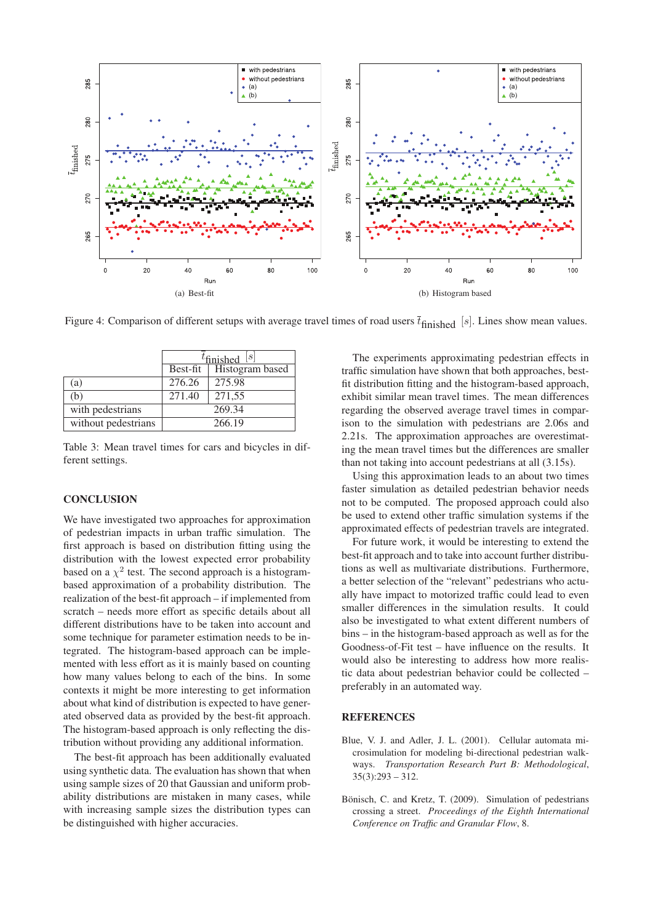

Figure 4: Comparison of different setups with average travel times of road users  $\bar{t}_{\text{finished}}$  [s]. Lines show mean values.

|                     | $t_{\text{finished}}$ [s] |                 |  |  |  |
|---------------------|---------------------------|-----------------|--|--|--|
|                     | Best-fit                  | Histogram based |  |  |  |
| (a)                 | 276.26                    | 275.98          |  |  |  |
| (b)                 | 271.40                    | 271,55          |  |  |  |
| with pedestrians    | 269.34                    |                 |  |  |  |
| without pedestrians | 266.19                    |                 |  |  |  |

Table 3: Mean travel times for cars and bicycles in different settings.

# **CONCLUSION**

We have investigated two approaches for approximation of pedestrian impacts in urban traffic simulation. The first approach is based on distribution fitting using the distribution with the lowest expected error probability based on a  $\chi^2$  test. The second approach is a histogrambased approximation of a probability distribution. The realization of the best-fit approach – if implemented from scratch – needs more effort as specific details about all different distributions have to be taken into account and some technique for parameter estimation needs to be integrated. The histogram-based approach can be implemented with less effort as it is mainly based on counting how many values belong to each of the bins. In some contexts it might be more interesting to get information about what kind of distribution is expected to have generated observed data as provided by the best-fit approach. The histogram-based approach is only reflecting the distribution without providing any additional information.

The best-fit approach has been additionally evaluated using synthetic data. The evaluation has shown that when using sample sizes of 20 that Gaussian and uniform probability distributions are mistaken in many cases, while with increasing sample sizes the distribution types can be distinguished with higher accuracies.

The experiments approximating pedestrian effects in traffic simulation have shown that both approaches, bestfit distribution fitting and the histogram-based approach, exhibit similar mean travel times. The mean differences regarding the observed average travel times in comparison to the simulation with pedestrians are 2.06s and 2.21s. The approximation approaches are overestimating the mean travel times but the differences are smaller than not taking into account pedestrians at all (3.15s).

Using this approximation leads to an about two times faster simulation as detailed pedestrian behavior needs not to be computed. The proposed approach could also be used to extend other traffic simulation systems if the approximated effects of pedestrian travels are integrated.

For future work, it would be interesting to extend the best-fit approach and to take into account further distributions as well as multivariate distributions. Furthermore, a better selection of the "relevant" pedestrians who actually have impact to motorized traffic could lead to even smaller differences in the simulation results. It could also be investigated to what extent different numbers of bins – in the histogram-based approach as well as for the Goodness-of-Fit test – have influence on the results. It would also be interesting to address how more realistic data about pedestrian behavior could be collected – preferably in an automated way.

### **REFERENCES**

- Blue, V. J. and Adler, J. L. (2001). Cellular automata microsimulation for modeling bi-directional pedestrian walkways. *Transportation Research Part B: Methodological*,  $35(3):293 - 312.$
- Bönisch, C. and Kretz, T. (2009). Simulation of pedestrians crossing a street. *Proceedings of the Eighth International Conference on Traffic and Granular Flow*, 8.